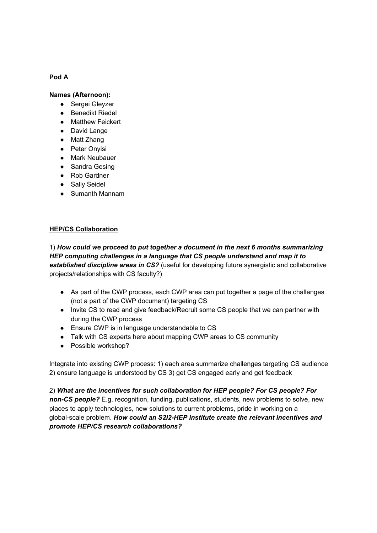# **Pod A**

#### **Names (Afternoon):**

- **●** Sergei Gleyzer
- Benedikt Riedel
- Matthew Feickert
- David Lange
- Matt Zhang
- Peter Onyisi
- Mark Neubauer
- Sandra Gesing
- Rob Gardner
- Sally Seidel
- Sumanth Mannam

#### **HEP/CS Collaboration**

1) *How could we proceed to put together a document in the next 6 months summarizing HEP computing challenges in a language that CS people understand and map it to* **established discipline areas in CS?** (useful for developing future synergistic and collaborative projects/relationships with CS faculty?)

- As part of the CWP process, each CWP area can put together a page of the challenges (not a part of the CWP document) targeting CS
- Invite CS to read and give feedback/Recruit some CS people that we can partner with during the CWP process
- Ensure CWP is in language understandable to CS
- Talk with CS experts here about mapping CWP areas to CS community
- Possible workshop?

Integrate into existing CWP process: 1) each area summarize challenges targeting CS audience 2) ensure language is understood by CS 3) get CS engaged early and get feedback

2) *What are the incentives for such collaboration for HEP people? For CS people? For non-CS people?* E.g. recognition, funding, publications, students, new problems to solve, new places to apply technologies, new solutions to current problems, pride in working on a global-scale problem. *How could an S2I2-HEP institute create the relevant incentives and promote HEP/CS research collaborations?*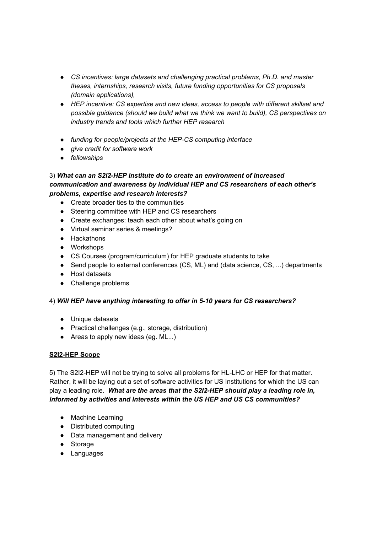- *● CS incentives: large datasets and challenging practical problems, Ph.D. and master theses, internships, research visits, future funding opportunities for CS proposals (domain applications),*
- *● HEP incentive: CS expertise and new ideas, access to people with different skillset and possible guidance (should we build what we think we want to build), CS perspectives on industry trends and tools which further HEP research*
- *● funding for people/projects at the HEP-CS computing interface*
- *● give credit for software work*
- *● fellowships*

## 3) *What can an S2I2-HEP institute do to create an environment of increased communication and awareness by individual HEP and CS researchers of each other's problems, expertise and research interests?*

- Create broader ties to the communities
- Steering committee with HEP and CS researchers
- Create exchanges: teach each other about what's going on
- Virtual seminar series & meetings?
- Hackathons
- Workshops
- CS Courses (program/curriculum) for HEP graduate students to take
- Send people to external conferences (CS, ML) and (data science, CS, ...) departments
- Host datasets
- Challenge problems

## 4) *Will HEP have anything interesting to offer in 5-10 years for CS researchers?*

- Unique datasets
- Practical challenges (e.g., storage, distribution)
- Areas to apply new ideas (eg. ML...)

## **S2I2-HEP Scope**

5) The S2I2-HEP will not be trying to solve all problems for HL-LHC or HEP for that matter. Rather, it will be laying out a set of software activities for US Institutions for which the US can play a leading role. *What are the areas that the S2I2-HEP should play a leading role in, informed by activities and interests within the US HEP and US CS communities?*

- Machine Learning
- Distributed computing
- Data management and delivery
- Storage
- Languages